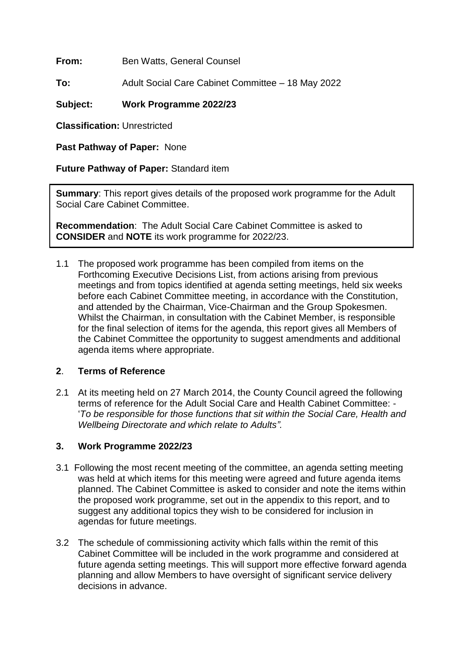**From:** Ben Watts, General Counsel

**To:** Adult Social Care Cabinet Committee – 18 May 2022

## **Subject: Work Programme 2022/23**

**Classification:** Unrestricted

**Past Pathway of Paper:** None

**Future Pathway of Paper:** Standard item

**Summary:** This report gives details of the proposed work programme for the Adult Social Care Cabinet Committee.

**Recommendation**: The Adult Social Care Cabinet Committee is asked to **CONSIDER** and **NOTE** its work programme for 2022/23.

1.1 The proposed work programme has been compiled from items on the Forthcoming Executive Decisions List, from actions arising from previous meetings and from topics identified at agenda setting meetings, held six weeks before each Cabinet Committee meeting, in accordance with the Constitution, and attended by the Chairman, Vice-Chairman and the Group Spokesmen. Whilst the Chairman, in consultation with the Cabinet Member, is responsible for the final selection of items for the agenda, this report gives all Members of the Cabinet Committee the opportunity to suggest amendments and additional agenda items where appropriate.

## **2**. **Terms of Reference**

2.1 At its meeting held on 27 March 2014, the County Council agreed the following terms of reference for the Adult Social Care and Health Cabinet Committee: - '*To be responsible for those functions that sit within the Social Care, Health and Wellbeing Directorate and which relate to Adults".*

## **3. Work Programme 2022/23**

- 3.1 Following the most recent meeting of the committee, an agenda setting meeting was held at which items for this meeting were agreed and future agenda items planned. The Cabinet Committee is asked to consider and note the items within the proposed work programme, set out in the appendix to this report, and to suggest any additional topics they wish to be considered for inclusion in agendas for future meetings.
- 3.2 The schedule of commissioning activity which falls within the remit of this Cabinet Committee will be included in the work programme and considered at future agenda setting meetings. This will support more effective forward agenda planning and allow Members to have oversight of significant service delivery decisions in advance.